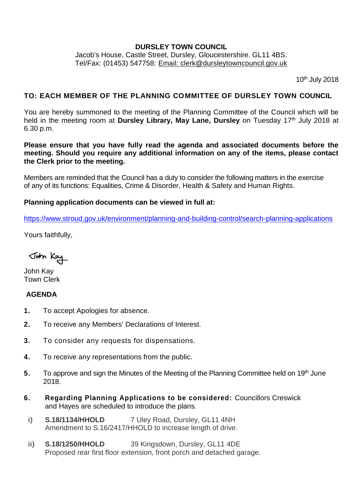### **DURSLEY TOWN COUNCIL**

Jacob's House, Castle Street, Dursley, Gloucestershire. GL11 4BS. Tel/Fax: (01453) 547758: [Email: clerk@dursleytowncouncil.gov.uk](mailto:clerk@dursleytowncouncil.gov.uk)

10th July 2018

# **TO: EACH MEMBER OF THE PLANNING COMMITTEE OF DURSLEY TOWN COUNCIL**

You are hereby summoned to the meeting of the Planning Committee of the Council which will be held in the meeting room at Dursley Library, May Lane, Dursley on Tuesday 17<sup>th</sup> July 2018 at 6.30 p.m.

**Please ensure that you have fully read the agenda and associated documents before the meeting. Should you require any additional information on any of the items, please contact the Clerk prior to the meeting.** 

Members are reminded that the Council has a duty to consider the following matters in the exercise of any of its functions: Equalities, Crime & Disorder, Health & Safety and Human Rights.

### **Planning application documents can be viewed in full at:**

<https://www.stroud.gov.uk/environment/planning-and-building-control/search-planning-applications>

Yours faithfully,

John Kay

John Kay Town Clerk

### **AGENDA**

- **1.** To accept Apologies for absence.
- **2.** To receive any Members' Declarations of Interest.
- **3.** To consider any requests for dispensations.
- **4.** To receive any representations from the public.
- 5. To approve and sign the Minutes of the Meeting of the Planning Committee held on 19<sup>th</sup> June 2018.
- **6. Regarding Planning Applications to be considered:** Councillors Creswick and Hayes are scheduled to introduce the plans.
- i) **S.18/1134/HHOLD** 7 Uley Road, Dursley, GL11 4NH Amendment to S.16/2417/HHOLD to increase length of drive.
- ii) **S.18/1250/HHOLD** 39 Kingsdown, Dursley, GL11 4DE Proposed rear first floor extension, front porch and detached garage.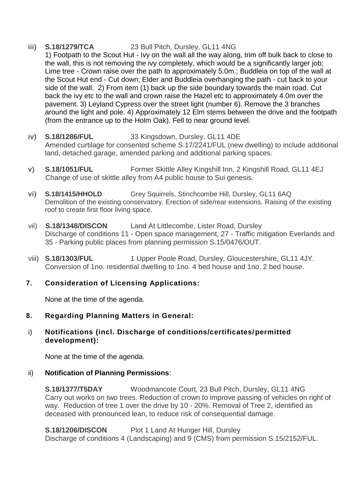### iii) **S.18/1279/TCA** 23 Bull Pitch, Dursley, GL11 4NG

1) Footpath to the Scout Hut - Ivy on the wall all the way along, trim off bulk back to close to the wall, this is not removing the ivy completely, which would be a significantly larger job; Lime tree - Crown raise over the path to approximately 5.0m.; Buddleia on top of the wall at the Scout Hut end - Cut down; Elder and Buddleia overhanging the path - cut back to your side of the wall. 2) From item (1) back up the side boundary towards the main road. Cut back the ivy etc to the wall and crown raise the Hazel etc to approximately 4.0m over the pavement. 3) Leyland Cypress over the street light (number 6). Remove the 3 branches around the light and pole. 4) Approximately 12 Elm stems between the drive and the footpath (from the entrance up to the Holm Oak). Fell to near ground level.

- iv) **S.18/1286/FUL** 33 Kingsdown, Dursley, GL11 4DE Amended curtilage for consented scheme S.17/2241/FUL (new dwelling) to include additional land, detached garage, amended parking and additional parking spaces.
- v) **S.18/1051/FUL** Former Skittle Alley Kingshill Inn, 2 Kingshill Road, GL11 4EJ Change of use of skittle alley from A4 public house to Sui genesis.
- vi) **S.18/1415/HHOLD** Grey Squirrels, Stinchcombe Hill, Dursley, GL11 6AQ Demolition of the existing conservatory. Erection of side/rear extensions. Raising of the existing roof to create first floor living space.
- vii) **S.18/1348/DISCON** Land At Littlecombe, Lister Road, Dursley Discharge of conditions 11 - Open space management, 27 - Traffic mitigation Everlands and 35 - Parking public places from planning permission S.15/0476/OUT.
- viii) **S.18/1303/FUL** 1 Upper Poole Road, Dursley, Gloucestershire, GL11 4JY. Conversion of 1no. residential dwelling to 1no. 4 bed house and 1no. 2 bed house.

# **7. Consideration of Licensing Applications:**

None at the time of the agenda.

### **8. Regarding Planning Matters in General:**

### i) **Notifications (incl. Discharge of conditions/certificates/permitted development):**

None at the time of the agenda.

### ii) **Notification of Planning Permissions**:

**S.18/1377/T5DAY** Woodmancote Court, 23 Bull Pitch, Dursley, GL11 4NG Carry out works on two trees. Reduction of crown to improve passing of vehicles on right of way. Reduction of tree 1 over the drive by 10 - 20%. Removal of Tree 2, identified as deceased with pronounced lean, to reduce risk of consequential damage.

**S.18/1206/DISCON** Plot 1 Land At Hunger Hill, Dursley Discharge of conditions 4 (Landscaping) and 9 (CMS) from permission S.15/2152/FUL.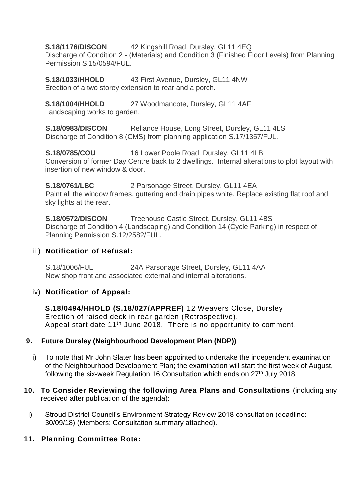# **S.18/1176/DISCON** 42 Kingshill Road, Dursley, GL11 4EQ

Discharge of Condition 2 - (Materials) and Condition 3 (Finished Floor Levels) from Planning Permission S.15/0594/FUL.

**S.18/1033/HHOLD** 43 First Avenue, Dursley, GL11 4NW Erection of a two storey extension to rear and a porch.

**S.18/1004/HHOLD** 27 Woodmancote, Dursley, GL11 4AF Landscaping works to garden.

**S.18/0983/DISCON** Reliance House, Long Street, Dursley, GL11 4LS Discharge of Condition 8 (CMS) from planning application S.17/1357/FUL.

**S.18/0785/COU** 16 Lower Poole Road, Dursley, GL11 4LB Conversion of former Day Centre back to 2 dwellings. Internal alterations to plot layout with insertion of new window & door.

**S.18/0761/LBC** 2 Parsonage Street, Dursley, GL11 4EA Paint all the window frames, guttering and drain pipes white. Replace existing flat roof and sky lights at the rear.

**S.18/0572/DISCON** Treehouse Castle Street, Dursley, GL11 4BS Discharge of Condition 4 (Landscaping) and Condition 14 (Cycle Parking) in respect of Planning Permission S.12/2582/FUL.

#### iii) **Notification of Refusal:**

S.18/1006/FUL 24A Parsonage Street, Dursley, GL11 4AA New shop front and associated external and internal alterations.

#### iv) **Notification of Appeal:**

**S.18/0494/HHOLD (S.18/027/APPREF)** 12 Weavers Close, Dursley Erection of raised deck in rear garden (Retrospective). Appeal start date 11<sup>th</sup> June 2018. There is no opportunity to comment.

### **9. Future Dursley (Neighbourhood Development Plan (NDP))**

- i) To note that Mr John Slater has been appointed to undertake the independent examination of the Neighbourhood Development Plan; the examination will start the first week of August, following the six-week Regulation 16 Consultation which ends on  $27<sup>th</sup>$  July 2018.
- **10. To Consider Reviewing the following Area Plans and Consultations** (including any received after publication of the agenda):
- i) Stroud District Council's Environment Strategy Review 2018 consultation (deadline: 30/09/18) (Members: Consultation summary attached).

### **11. Planning Committee Rota:**